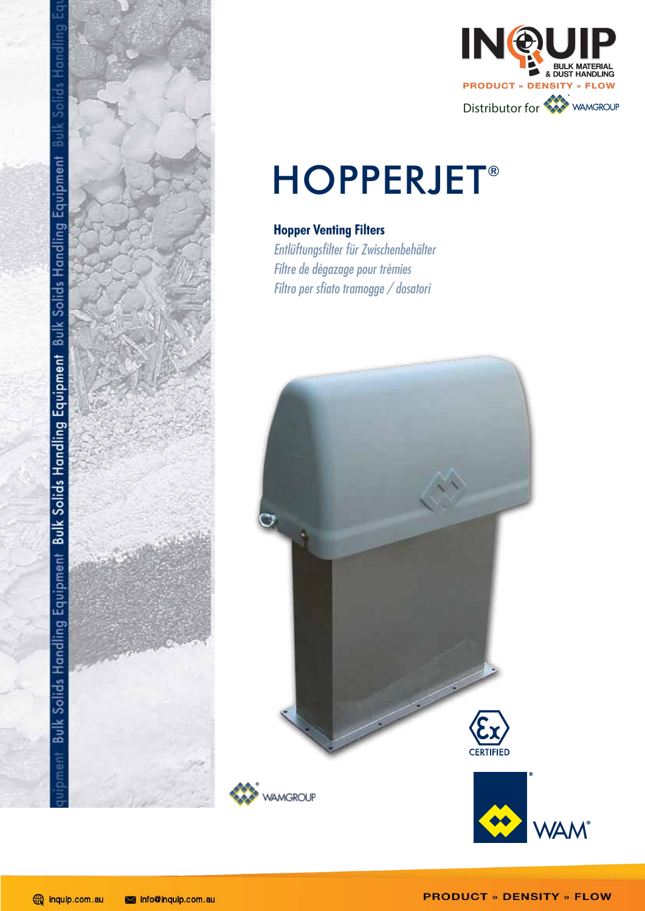



# **HOPPERJET®**

# **Hopper Venting Filters**

Entlüftungsfilter für Zwischenbehälter Filtre de dégazage pour trémies Filtro per sfiato tramogge / dosatori

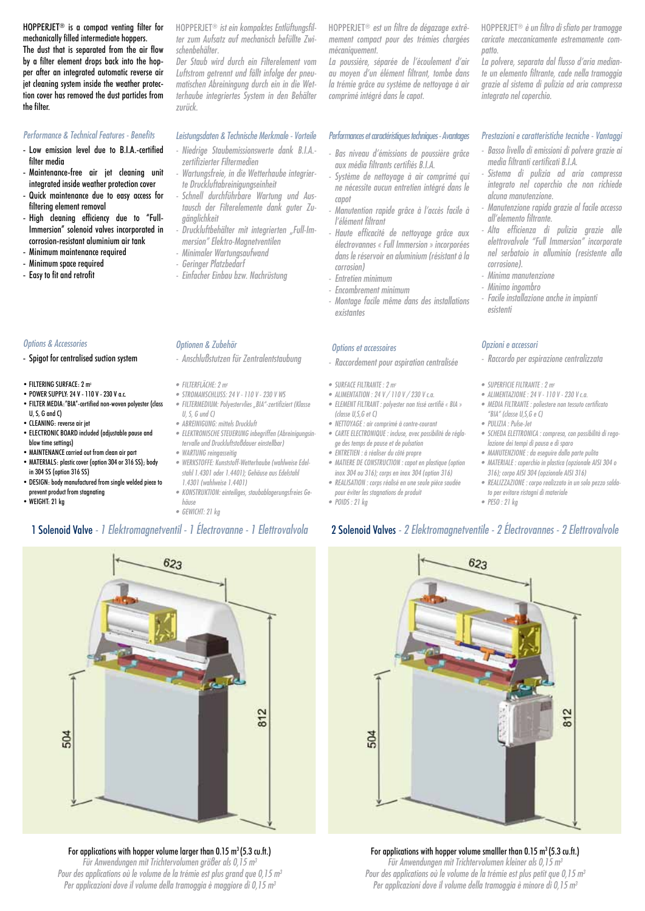HOPPERJET® is a compact venting filter for mechanically filled intermediate hoppers.

The dust that is separated from the air flow by a filter element drops back into the hopper after an integrated automatic reverse air jet cleaning system inside the weather protection cover has removed the dust particles from the filter.

#### *Performance & Technical Features - Benefits*

- Low emission level due to B.I.A.-certified filter media
- Maintenance-free air jet cleaning unit integrated inside weather protection cover
- Quick maintenance due to easy access for filtering element removal
- High cleaning efficiency due to "Full-Immersion" solenoid valves incorporated in corrosion-resistant aluminium air tank
- Minimum maintenance required
- Minimum space required
- Easy to fit and retrofit

#### *Options & Accessories*

- Spigot for centralised suction system
- FILTERING SURFACE: 2 m<sup>2</sup>
- POWER SUPPLY: 24 V 110 V 230 V a.c.
- FILTER MEDIA:"BIA"-certified non-woven polyester (class U, S, G and C)
- CLEANING: reverse air jet
- ELECTRONIC BOARD included (adjustable pause and blow time settings)
- MAINTENANCE carried out from clean air part • MATERIALS: plastic cover (option 304 or 316 SS); body
- in 304 SS (option 316 SS) • DESIGN: body manufactured from single welded piece to
- prevent product from stagnating • WEIGHT: 21 kg
- 

HOPPERJET® *ist ein kompaktes Entlüftungsfilter zum Aufsatz auf mechanisch befüllte Zwischenbehälter.* 

*Der Staub wird durch ein Filterelement vom Luftstrom getrennt und fällt infolge der pneumatischen Abreiningung durch ein in die Wetterhaube integriertes System in den Behälter zurück.*

#### *Leistungsdaten & Technische Merkmale - Vorteile*

- *- Niedrige Staubemissionswerte dank B.I.A. zertifizierter Filtermedien*
- *- Wartungsfreie, in die Wetterhaube integrierte Druckluftabreinigungseinheit*
- *- Schnell durchführbare Wartung und Austausch der Filterelemente dank guter Zugänglichkeit*
- *- Druckluftbehälter mit integrierten "Full-Immersion" Elektro-Magnetventilen*
- *- Minimaler Wartungsaufwand*
- *- Geringer Platzbedarf*
- *- Einfacher Einbau bzw. Nachrüstung*

#### *Optionen & Zubehör*

- *- Anschlußstutzen für Zentralentstaubung*
- *• FILTERFLÄCHE: 2 m<sup>2</sup>*
- *• STROMANSCHLUSS: 24 V - 110 V - 230 V WS*
- *• FILTERMEDIUM: Polyestervlies "BIA"-zertifiziert (Klasse U, S, G und C)*
- *• ABREINIGUNG: mittels Druckluft*
- *• ELEKTRONISCHE STEUERUNG inbegriffen (Abreinigungsintervalle und Druckluftstoßdauer einstellbar) • WARTUNG reingasseitig*
- *• WERKSTOFFE: Kunststoff-Wetterhaube (wahlweise Edelstahl 1.4301 oder 1.4401); Gehäuse aus Edelstahl*
- *1.4301 (wahlweise 1.4401) • KONSTRUKTION: einteiliges, staubablagerungsfreies Ge-*
- *häuse • GEWICHT: 21 kg*
- HOPPERJET® *est un filtre de dégazage extrêmement compact pour des trémies chargées mécaniquement.*
- *La poussière, séparée de l'écoulement d'air au moyen d'un élément filtrant, tombe dans la trémie grâce au système de nettoyage à air comprimé intégré dans le capot.*

#### *Performances et caractéristiques techniques - Avantages*

- *- Bas niveau d'émissions de poussière grâce aux média filtrants certifiés B.I.A.*
- *- Système de nettoyage à air comprimé qui ne nécessite aucun entretien intégré dans le capot*
- *- Manutention rapide grâce à l'accès facile à l'élément filtrant*
- *- Haute efficacité de nettoyage grâce aux électrovannes « Full Immersion » incorporées dans le réservoir en aluminium (résistant à la corrosion)*
- *- Entretien minimum*
- *- Encombrement minimum*
- *- Montage facile même dans des installations existantes*

#### *Options et accessoires*

- *- Raccordement pour aspiration centralisée*
- *• SURFACE FILTRANTE : 2 m<sup>2</sup>*
- *• ALIMENTATION : 24 V / 110 V / 230 V c.a.*
- *• ELEMENT FILTRANT : polyester non tissé certifié « BIA » (classe U,S,G et C)*
- *• NETTOYAGE : air comprimé à contre-courant*
- *• CARTE ELECTRONIQUE : incluse, avec possibilité de réglage des temps de pause et de pulsation*
- *• ENTRETIEN : à réaliser du côté propre • MATIERE DE CONSTRUCTION : capot en plastique (option*
- *inox 304 ou 316); corps en inox 304 (option 316) • REALISATION : corps réalisé en une seule pièce soudée*
- *pour éviter les stagnations de produit • POIDS : 21 kg*
- 

HOPPERJET® *è un filtro di sfiato per tramogge caricate meccanicamente estremamente compatto.* 

*La polvere, separata dal flusso d'aria mediante un elemento filtrante, cade nella tramoggia grazie al sistema di pulizia ad aria compressa integrato nel coperchio.*

#### *Prestazioni e caratteristiche tecniche - Vantaggi*

- *- Basso livello di emissioni di polvere grazie ai media filtranti certificati B.I.A.*
- *- Sistema di pulizia ad aria compressa integrato nel coperchio che non richiede alcuna manutenzione.*
- *- Manutenzione rapida grazie al facile accesso all'elemento filtrante.*
- *- Alta efficienza di pulizia grazie alle elettrovalvole "Full Immersion" incorporate nel serbatoio in alluminio (resistente alla corrosione).*
- *- Minima manutenzione*
- *- Minimo ingombro*
- *- Facile installazione anche in impianti esistenti*

#### *Opzioni e accessori*

- *- Raccordo per aspirazione centralizzata*
- *• SUPERFICIE FILTRANTE : 2 m<sup>2</sup>*
- *• ALIMENTAZIONE : 24 V - 110 V - 230 V c.a.*
- *• MEDIA FILTRANTE : poliestere non tessuto certificato "BIA" (classe U,S,G e C)*
- *• PULIZIA : Pulse-Jet*
- *• SCHEDA ELETTRONICA : compresa, con possibilità di regolazione dei tempi di pausa e di sparo*
- *• MANUTENZIONE : da eseguire dalla parte pulita • MATERIALE : coperchio in plastica (opzionale AISI 304 o 316); corpo AISI 304 (opzionale AISI 316)*
- *• REALIZZAZIONE : corpo realizzato in un solo pezzo saldato per evitare ristagni di materiale*
- *• PESO : 21 kg*

## 1 Solenoid Valve *- 1 Elektromagnetventil - 1 Électrovanne - 1 Elettrovalvola* 2 Solenoid Valves *- 2 Elektromagnetventile - 2 Électrovannes - 2 Elettrovalvole*



### For applications with hopper volume smalller than 0.15 m<sup>3</sup> (5.3 cu.ft.)

*Für Anwendungen mit Trichtervolumen kleiner als 0,15 m3 Pour des applications où le volume de la trémie est plus petit que 0,15 m3 Per applicazioni dove il volume della tramoggia è minore di 0,15 m3*

# $623$ 812 504

For applications with hopper volume larger than 0.15  $m^3$  (5.3 cu.ft.) *Für Anwendungen mit Trichtervolumen größer als 0,15 m3 Pour des applications où le volume de la trémie est plus grand que 0,15 m3 Per applicazioni dove il volume della tramoggia è maggiore di 0,15 m3*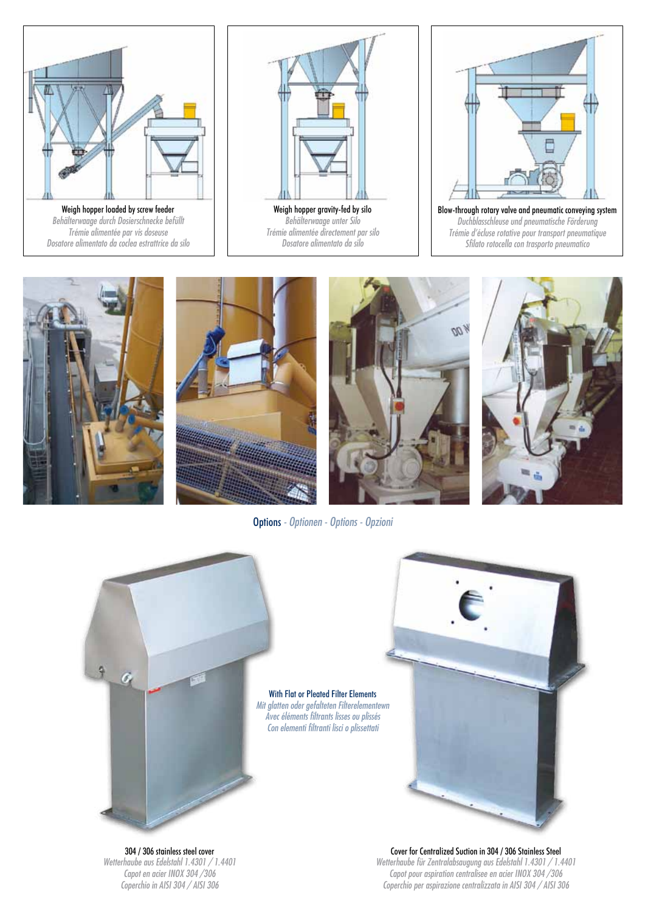

*Behälterwaage durch Dosierschnecke befüllt Trémie alimentée par vis doseuse Dosatore alimentato da coclea estrattrice da silo*



Weigh hopper gravity-fed by silo *Behälterwaage unter Silo Trémie alimentée directement par silo Dosatore alimentato da silo*



*Duchblasschleuse und pneumatische Förderung Trémie d'écluse rotative pour transport pneumatique Sfilato rotocella con trasporto pneumatico*









Options *- Optionen - Options - Opzioni*



304 / 306 stainless steel cover *Wetterhaube aus Edelstahl 1.4301 / 1.4401 Capot en acier INOX 304 /306 Coperchio in AISI 304 / AISI 306*

#### Cover for Centralized Suction in 304 / 306 Stainless Steel *Wetterhaube für Zentralabsaugung aus Edelstahl 1.4301 / 1.4401 Capot pour aspiration centralisee en acier INOX 304 /306 Coperchio per aspirazione centralizzata in AISI 304 / AISI 306*